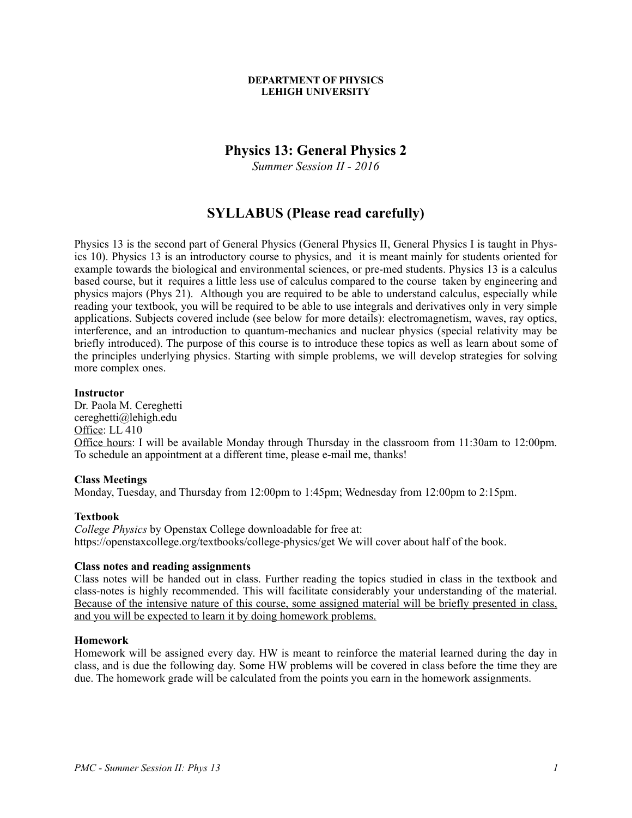#### **DEPARTMENT OF PHYSICS LEHIGH UNIVERSITY**

## **Physics 13: General Physics 2**

*Summer Session II - 2016*

# **SYLLABUS (Please read carefully)**

Physics 13 is the second part of General Physics (General Physics II, General Physics I is taught in Physics 10). Physics 13 is an introductory course to physics, and it is meant mainly for students oriented for example towards the biological and environmental sciences, or pre-med students. Physics 13 is a calculus based course, but it requires a little less use of calculus compared to the course taken by engineering and physics majors (Phys 21). Although you are required to be able to understand calculus, especially while reading your textbook, you will be required to be able to use integrals and derivatives only in very simple applications. Subjects covered include (see below for more details): electromagnetism, waves, ray optics, interference, and an introduction to quantum-mechanics and nuclear physics (special relativity may be briefly introduced). The purpose of this course is to introduce these topics as well as learn about some of the principles underlying physics. Starting with simple problems, we will develop strategies for solving more complex ones.

#### **Instructor**

Dr. Paola M. Cereghetti cereghetti@lehigh.edu Office: LL 410 Office hours: I will be available Monday through Thursday in the classroom from 11:30am to 12:00pm. To schedule an appointment at a different time, please e-mail me, thanks!

## **Class Meetings**

Monday, Tuesday, and Thursday from 12:00pm to 1:45pm; Wednesday from 12:00pm to 2:15pm.

## **Textbook**

*College Physics* by Openstax College downloadable for free at: https://openstaxcollege.org/textbooks/college-physics/get We will cover about half of the book.

## **Class notes and reading assignments**

Class notes will be handed out in class. Further reading the topics studied in class in the textbook and class-notes is highly recommended. This will facilitate considerably your understanding of the material. Because of the intensive nature of this course, some assigned material will be briefly presented in class, and you will be expected to learn it by doing homework problems.

#### **Homework**

Homework will be assigned every day. HW is meant to reinforce the material learned during the day in class, and is due the following day. Some HW problems will be covered in class before the time they are due. The homework grade will be calculated from the points you earn in the homework assignments.